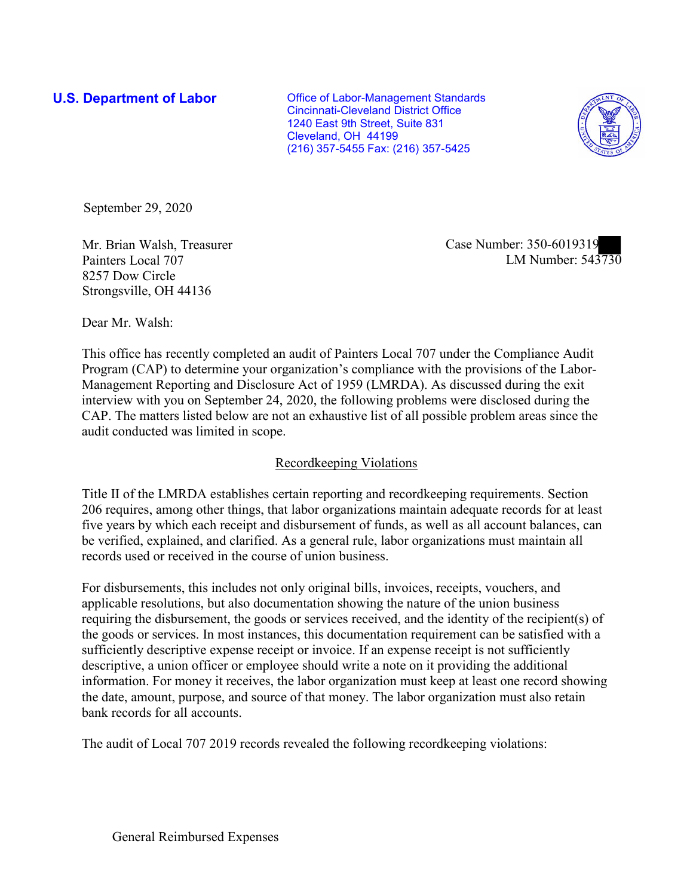**U.S. Department of Labor Conservative Conservative Conservative Conservative Conservative Conservative Conservative Conservative Conservative Conservative Conservative Conservative Conservative Conservative Conservative** Cincinnati-Cleveland District Office 1240 East 9th Street, Suite 831 Cleveland, OH 44199 (216) 357-5455 Fax: (216) 357-5425



September 29, 2020

8257 Dow Circle Strongsville, OH 44136

Mr. Brian Walsh, Ireasurer and Case Number: 350-6019319<br>Painters Local 707 LM Number: 543730 Mr. Brian Walsh, Treasurer Case Number: 350-6019319

Dear Mr. Walsh:

 This office has recently completed an audit of Painters Local 707 under the Compliance Audit Program (CAP) to determine your organization's compliance with the provisions of the Labor- Management Reporting and Disclosure Act of 1959 (LMRDA). As discussed during the exit interview with you on September 24, 2020, the following problems were disclosed during the CAP. The matters listed below are not an exhaustive list of all possible problem areas since the audit conducted was limited in scope.

## Recordkeeping Violations

 Title II of the LMRDA establishes certain reporting and recordkeeping requirements. Section 206 requires, among other things, that labor organizations maintain adequate records for at least five years by which each receipt and disbursement of funds, as well as all account balances, can be verified, explained, and clarified. As a general rule, labor organizations must maintain all records used or received in the course of union business.

For disbursements, this includes not only original bills, invoices, receipts, vouchers, and applicable resolutions, but also documentation showing the nature of the union business requiring the disbursement, the goods or services received, and the identity of the recipient(s) of the goods or services. In most instances, this documentation requirement can be satisfied with a sufficiently descriptive expense receipt or invoice. If an expense receipt is not sufficiently descriptive, a union officer or employee should write a note on it providing the additional information. For money it receives, the labor organization must keep at least one record showing the date, amount, purpose, and source of that money. The labor organization must also retain bank records for all accounts.

The audit of Local 707 2019 records revealed the following recordkeeping violations: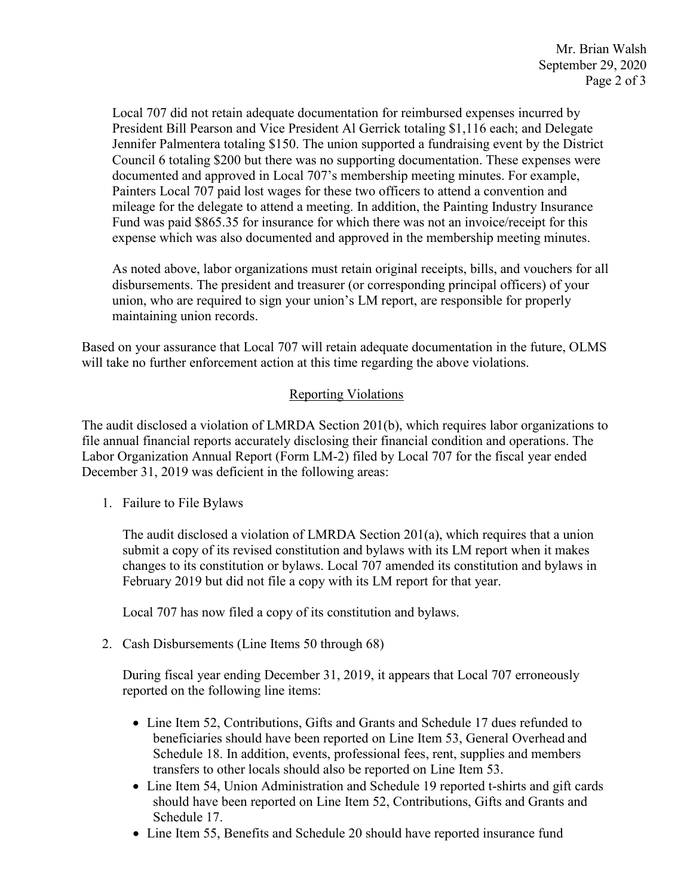Local 707 did not retain adequate documentation for reimbursed expenses incurred by mileage for the delegate to attend a meeting. In addition, the Painting Industry Insurance President Bill Pearson and Vice President Al Gerrick totaling \$1,116 each; and Delegate Jennifer Palmentera totaling \$150. The union supported a fundraising event by the District Council 6 totaling \$200 but there was no supporting documentation. These expenses were documented and approved in Local 707's membership meeting minutes. For example, Painters Local 707 paid lost wages for these two officers to attend a convention and Fund was paid \$865.35 for insurance for which there was not an invoice/receipt for this expense which was also documented and approved in the membership meeting minutes.

 disbursements. The president and treasurer (or corresponding principal officers) of your As noted above, labor organizations must retain original receipts, bills, and vouchers for all union, who are required to sign your union's LM report, are responsible for properly maintaining union records.

 Based on your assurance that Local 707 will retain adequate documentation in the future, OLMS will take no further enforcement action at this time regarding the above violations.

## Reporting Violations

 Labor Organization Annual Report (Form LM-2) filed by Local 707 for the fiscal year ended The audit disclosed a violation of LMRDA Section 201(b), which requires labor organizations to file annual financial reports accurately disclosing their financial condition and operations. The December 31, 2019 was deficient in the following areas:

1. Failure to File Bylaws

 February 2019 but did not file a copy with its LM report for that year. The audit disclosed a violation of LMRDA Section 201(a), which requires that a union submit a copy of its revised constitution and bylaws with its LM report when it makes changes to its constitution or bylaws. Local 707 amended its constitution and bylaws in

Local 707 has now filed a copy of its constitution and bylaws.

2. Cash Disbursements (Line Items 50 through 68)

 During fiscal year ending December 31, 2019, it appears that Local 707 erroneously reported on the following line items:

- transfers to other locals should also be reported on Line Item 53. • Line Item 52, Contributions, Gifts and Grants and Schedule 17 dues refunded to beneficiaries should have been reported on Line Item 53, General Overhead and Schedule 18. In addition, events, professional fees, rent, supplies and members
- Schedule 17. • Line Item 54, Union Administration and Schedule 19 reported t-shirts and gift cards should have been reported on Line Item 52, Contributions, Gifts and Grants and
- Line Item 55, Benefits and Schedule 20 should have reported insurance fund